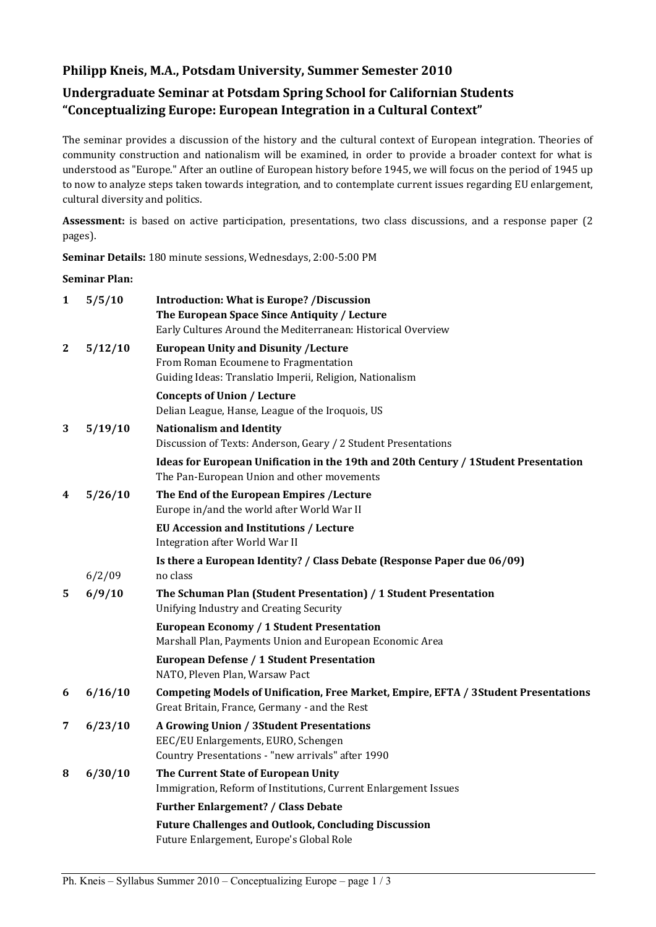# **Philipp Kneis, M.A., Potsdam University, Summer Semester 2010**

# **Undergraduate Seminar at Potsdam Spring School for Californian Students "Conceptualizing Europe: European Integration in a Cultural Context"**

The seminar provides a discussion of the history and the cultural context of European integration. Theories of community construction and nationalism will be examined, in order to provide a broader context for what is understood as "Europe." After an outline of European history before 1945, we will focus on the period of 1945 up to now to analyze steps taken towards integration, and to contemplate current issues regarding EU enlargement, cultural diversity and politics.

**Assessment:** is based on active participation, presentations, two class discussions, and a response paper (2 pages).

**Seminar Details:** 180 minute sessions, Wednesdays, 2:00-5:00 PM

#### **Seminar Plan:**

| 1                | 5/5/10  | <b>Introduction: What is Europe? /Discussion</b>                                     |
|------------------|---------|--------------------------------------------------------------------------------------|
|                  |         | The European Space Since Antiquity / Lecture                                         |
|                  |         | Early Cultures Around the Mediterranean: Historical Overview                         |
| $\boldsymbol{2}$ | 5/12/10 | <b>European Unity and Disunity / Lecture</b>                                         |
|                  |         | From Roman Ecoumene to Fragmentation                                                 |
|                  |         | Guiding Ideas: Translatio Imperii, Religion, Nationalism                             |
|                  |         | <b>Concepts of Union / Lecture</b>                                                   |
|                  |         | Delian League, Hanse, League of the Iroquois, US                                     |
| 3                | 5/19/10 | <b>Nationalism and Identity</b>                                                      |
|                  |         | Discussion of Texts: Anderson, Geary / 2 Student Presentations                       |
|                  |         | Ideas for European Unification in the 19th and 20th Century / 1 Student Presentation |
|                  |         | The Pan-European Union and other movements                                           |
| 4                | 5/26/10 | The End of the European Empires / Lecture                                            |
|                  |         | Europe in/and the world after World War II                                           |
|                  |         | <b>EU Accession and Institutions / Lecture</b>                                       |
|                  |         | Integration after World War II                                                       |
|                  |         | Is there a European Identity? / Class Debate (Response Paper due 06/09)              |
|                  | 6/2/09  | no class                                                                             |
| 5                | 6/9/10  | The Schuman Plan (Student Presentation) / 1 Student Presentation                     |
|                  |         | Unifying Industry and Creating Security                                              |
|                  |         | European Economy / 1 Student Presentation                                            |
|                  |         | Marshall Plan, Payments Union and European Economic Area                             |
|                  |         | <b>European Defense / 1 Student Presentation</b>                                     |
|                  |         | NATO, Pleven Plan, Warsaw Pact                                                       |
| 6                | 6/16/10 | Competing Models of Unification, Free Market, Empire, EFTA / 3 Student Presentations |
|                  |         | Great Britain, France, Germany - and the Rest                                        |
| 7                | 6/23/10 | <b>A Growing Union / 3Student Presentations</b>                                      |
|                  |         | EEC/EU Enlargements, EURO, Schengen                                                  |
|                  |         | Country Presentations - "new arrivals" after 1990                                    |
| 8                | 6/30/10 | The Current State of European Unity                                                  |
|                  |         | Immigration, Reform of Institutions, Current Enlargement Issues                      |
|                  |         | <b>Further Enlargement? / Class Debate</b>                                           |
|                  |         | <b>Future Challenges and Outlook, Concluding Discussion</b>                          |
|                  |         | Future Enlargement, Europe's Global Role                                             |
|                  |         |                                                                                      |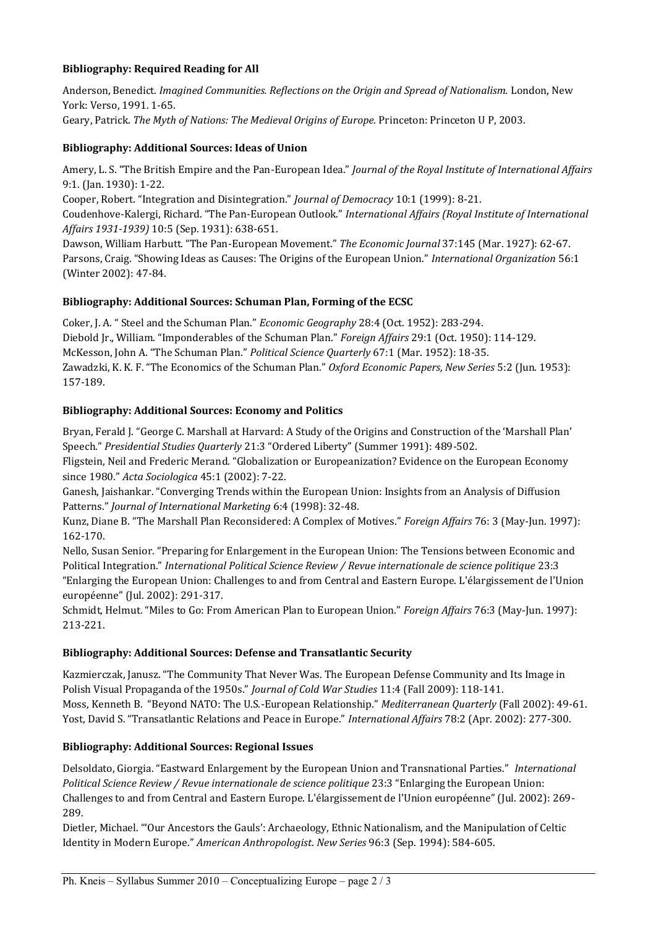## **Bibliography: Required Reading for All**

Anderson, Benedict. *Imagined Communities. Reflections on the Origin and Spread of Nationalism.* London, New York: Verso, 1991. 1-65. Geary, Patrick. *The Myth of Nations: The Medieval Origins of Europe.* Princeton: Princeton U P, 2003.

## **Bibliography: Additional Sources: Ideas of Union**

Amery, L. S. "The British Empire and the Pan-European Idea." *Journal of the Royal Institute of International Affairs* 9:1. (Jan. 1930): 1-22.

Cooper, Robert. "Integration and Disintegration." *Journal of Democracy* 10:1 (1999): 8-21. Coudenhove-Kalergi, Richard. "The Pan-European Outlook." *International Affairs (Royal Institute of International Affairs 1931-1939)* 10:5 (Sep. 1931): 638-651.

Dawson, William Harbutt. "The Pan-European Movement." *The Economic Journal* 37:145 (Mar. 1927): 62-67. Parsons, Craig. "Showing Ideas as Causes: The Origins of the European Union." *International Organization* 56:1 (Winter 2002): 47-84.

## **Bibliography: Additional Sources: Schuman Plan, Forming of the ECSC**

Coker, J. A. " Steel and the Schuman Plan." *Economic Geography* 28:4 (Oct. 1952): 283-294. Diebold Jr., William. "Imponderables of the Schuman Plan." *Foreign Affairs* 29:1 (Oct. 1950): 114-129. McKesson, John A. "The Schuman Plan." *Political Science Quarterly* 67:1 (Mar. 1952): 18-35. Zawadzki, K. K. F. "The Economics of the Schuman Plan." *Oxford Economic Papers, New Series* 5:2 (Jun. 1953): 157-189.

## **Bibliography: Additional Sources: Economy and Politics**

Bryan, Ferald J. "George C. Marshall at Harvard: A Study of the Origins and Construction of the 'Marshall Plan' Speech." *Presidential Studies Quarterly* 21:3 "Ordered Liberty" (Summer 1991): 489-502.

Fligstein, Neil and Frederic Merand. "Globalization or Europeanization? Evidence on the European Economy since 1980." *Acta Sociologica* 45:1 (2002): 7-22.

Ganesh, Jaishankar. "Converging Trends within the European Union: Insights from an Analysis of Diffusion Patterns." *Journal of International Marketing* 6:4 (1998): 32-48.

Kunz, Diane B. "The Marshall Plan Reconsidered: A Complex of Motives." *Foreign Affairs* 76: 3 (May-Jun. 1997): 162-170.

Nello, Susan Senior. "Preparing for Enlargement in the European Union: The Tensions between Economic and Political Integration." *International Political Science Review / Revue internationale de science politique* 23:3 "Enlarging the European Union: Challenges to and from Central and Eastern Europe. L'élargissement de l'Union européenne" (Jul. 2002): 291-317.

Schmidt, Helmut. "Miles to Go: From American Plan to European Union." *Foreign Affairs* 76:3 (May-Jun. 1997): 213-221.

#### **Bibliography: Additional Sources: Defense and Transatlantic Security**

Kazmierczak, Janusz. "The Community That Never Was. The European Defense Community and Its Image in Polish Visual Propaganda of the 1950s." *Journal of Cold War Studies* 11:4 (Fall 2009): 118-141. Moss, Kenneth B. "Beyond NATO: The U.S.-European Relationship." *Mediterranean Quarterly* (Fall 2002): 49-61. Yost, David S. "Transatlantic Relations and Peace in Europe." *International Affairs* 78:2 (Apr. 2002): 277-300.

#### **Bibliography: Additional Sources: Regional Issues**

Delsoldato, Giorgia. "Eastward Enlargement by the European Union and Transnational Parties." *International Political Science Review / Revue internationale de science politique* 23:3 "Enlarging the European Union: Challenges to and from Central and Eastern Europe. L'élargissement de l'Union européenne" (Jul. 2002): 269- 289.

Dietler, Michael. "'Our Ancestors the Gauls': Archaeology, Ethnic Nationalism, and the Manipulation of Celtic Identity in Modern Europe." *American Anthropologist*. *New Series* 96:3 (Sep. 1994): 584-605.